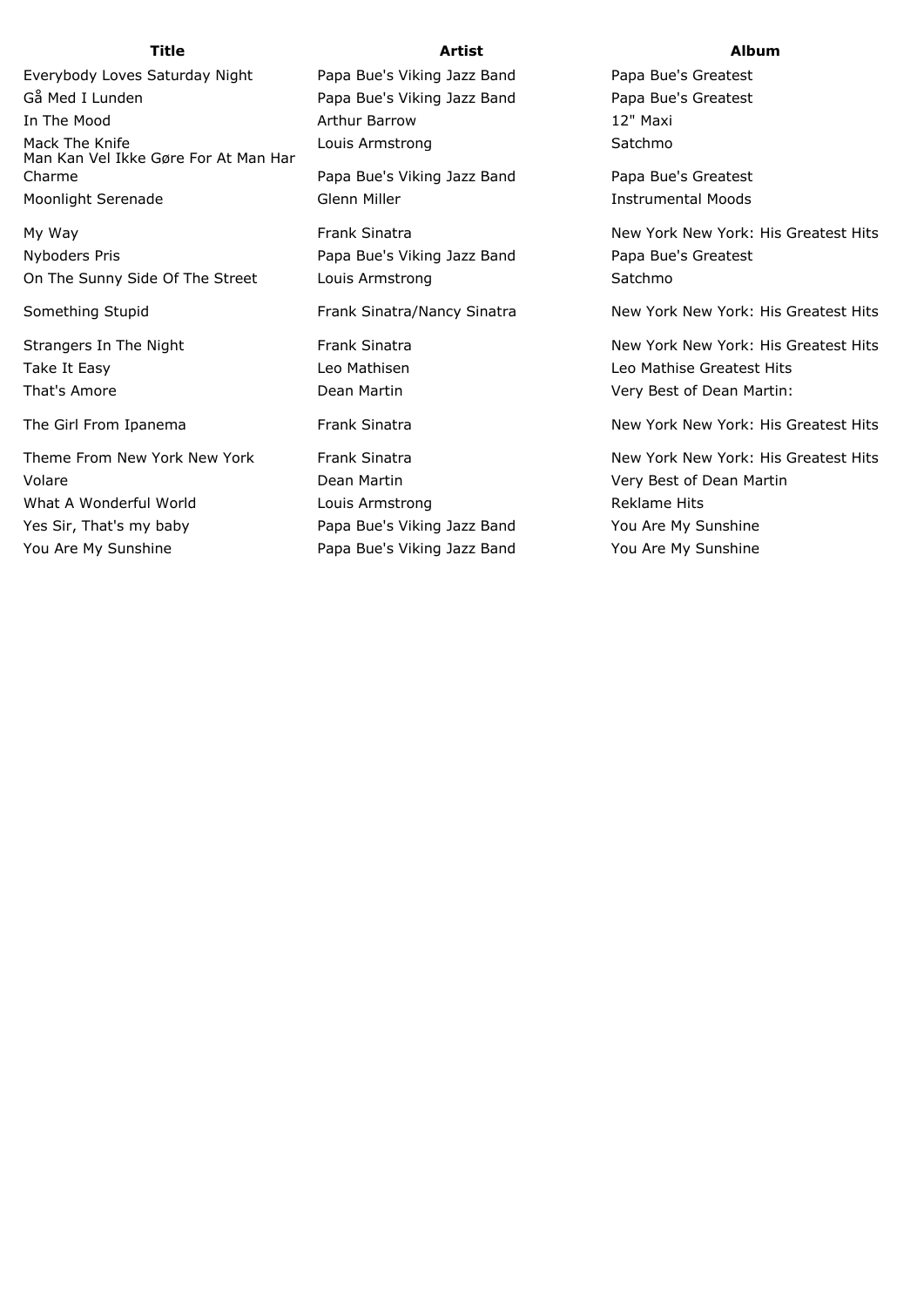Everybody Loves Saturday Night Papa Bue's Viking Jazz Band Papa Bue's Greatest Gå Med I Lunden **Papa Bue's Viking Jazz Band** Papa Bue's Greatest In The Mood **Arthur Barrow** 12" Maxi Mack The Knife **Louis Armstrong** Communication Communication Control of the Satchmo Man Kan Vel Ikke Gøre For At Man Har Charme Papa Bue's Viking Jazz Band Papa Bue's Greatest Moonlight Serenade The Glenn Miller Communist Control of the Serenage Communist Communist Communist Communist Communist Communist Communist Communist Communist Communist Communist Communist Communist Communist Communist Co

Nyboders Pris **Papa Bue's Viking Jazz Band** Papa Bue's Greatest On The Sunny Side Of The Street Louis Armstrong Satchmond Satchmond Satchmond Satchmond Satchmond Satchmond Satchmond Satchmond Satchmond Satchmond Satchmond Satchmond Satchmond Satchmond Satchmond Satchmond Satchmond Satc

Theme From New York New York **Frank Sinatra** New York New York: His Greatest Hits Hits Greatest Hits Greatest Hits Volare Dean Martin Very Best of Dean Martin What A Wonderful World **Reading Louis Armstrong** The Reklame Hits Yes Sir, That's my baby Papa Bue's Viking Jazz Band You Are My Sunshine

You Are My Sunshine The Papa Bue's Viking Jazz Band You Are My Sunshine

## **Title Artist Album**

My Way **New York: His Greatest Hits** Frank Sinatra New York New York: His Greatest Hits

Something Stupid **Frank Sinatra/Nancy Sinatra** New York New York: His Greatest Hits Greatest Hits

Strangers In The Night **Frank Sinatra** Frank Sinatra New York New York: His Greatest Hits Take It Easy **Leo Mathisen** Leo Mathisen Leo Mathise Greatest Hits That's Amore **That's Amore Dean Martin** Dean Martin Very Best of Dean Martin:

The Girl From Ipanema **Frank Sinatra** New York New York: His Greatest Hits Area New York: His Greatest Hits